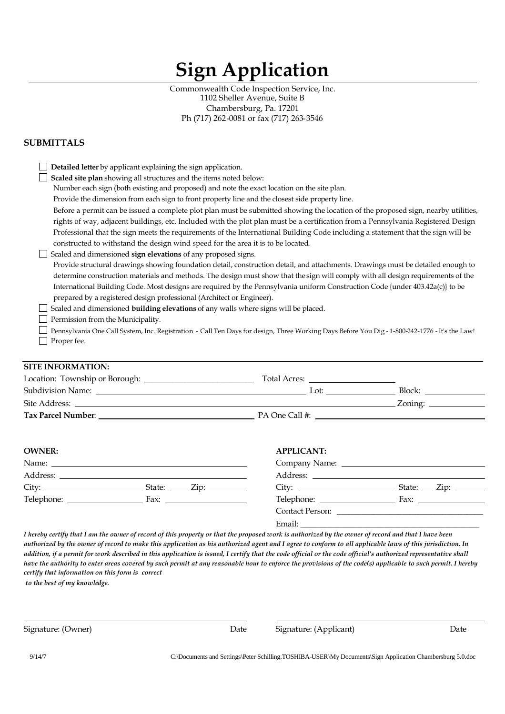# **Sign Application**

Commonwealth Code Inspection Service, Inc. 1102 Sheller Avenue, Suite B Chambersburg, Pa. 17201 Ph (717) 262-0081 or fax (717) 263-3546

#### **SUBMITTALS**

|                                                                                                                                                                                                                                                                       | Detailed letter by applicant explaining the sign application.                                                                                                                                                                        |                                                                                                                                                     |                 |  |  |
|-----------------------------------------------------------------------------------------------------------------------------------------------------------------------------------------------------------------------------------------------------------------------|--------------------------------------------------------------------------------------------------------------------------------------------------------------------------------------------------------------------------------------|-----------------------------------------------------------------------------------------------------------------------------------------------------|-----------------|--|--|
|                                                                                                                                                                                                                                                                       | Scaled site plan showing all structures and the items noted below:                                                                                                                                                                   |                                                                                                                                                     |                 |  |  |
|                                                                                                                                                                                                                                                                       |                                                                                                                                                                                                                                      | Number each sign (both existing and proposed) and note the exact location on the site plan.                                                         |                 |  |  |
|                                                                                                                                                                                                                                                                       | Provide the dimension from each sign to front property line and the closest side property line.<br>Before a permit can be issued a complete plot plan must be submitted showing the location of the proposed sign, nearby utilities, |                                                                                                                                                     |                 |  |  |
|                                                                                                                                                                                                                                                                       |                                                                                                                                                                                                                                      |                                                                                                                                                     |                 |  |  |
| rights of way, adjacent buildings, etc. Included with the plot plan must be a certification from a Pennsylvania Registered Design<br>Professional that the sign meets the requirements of the International Building Code including a statement that the sign will be |                                                                                                                                                                                                                                      |                                                                                                                                                     |                 |  |  |
|                                                                                                                                                                                                                                                                       |                                                                                                                                                                                                                                      |                                                                                                                                                     |                 |  |  |
|                                                                                                                                                                                                                                                                       | Scaled and dimensioned sign elevations of any proposed signs.                                                                                                                                                                        |                                                                                                                                                     |                 |  |  |
|                                                                                                                                                                                                                                                                       |                                                                                                                                                                                                                                      | Provide structural drawings showing foundation detail, construction detail, and attachments. Drawings must be detailed enough to                    |                 |  |  |
|                                                                                                                                                                                                                                                                       |                                                                                                                                                                                                                                      | determine construction materials and methods. The design must show that the sign will comply with all design requirements of the                    |                 |  |  |
|                                                                                                                                                                                                                                                                       |                                                                                                                                                                                                                                      | International Building Code. Most designs are required by the Pennsylvania uniform Construction Code {under 403.42a(c)} to be                       |                 |  |  |
|                                                                                                                                                                                                                                                                       | prepared by a registered design professional (Architect or Engineer).                                                                                                                                                                |                                                                                                                                                     |                 |  |  |
|                                                                                                                                                                                                                                                                       |                                                                                                                                                                                                                                      | Scaled and dimensioned building elevations of any walls where signs will be placed.                                                                 |                 |  |  |
|                                                                                                                                                                                                                                                                       | Permission from the Municipality.                                                                                                                                                                                                    |                                                                                                                                                     |                 |  |  |
|                                                                                                                                                                                                                                                                       |                                                                                                                                                                                                                                      | Pennsylvania One Call System, Inc. Registration - Call Ten Days for design, Three Working Days Before You Dig-1-800-242-1776 - It's the Law!        |                 |  |  |
| Proper fee.                                                                                                                                                                                                                                                           |                                                                                                                                                                                                                                      |                                                                                                                                                     |                 |  |  |
|                                                                                                                                                                                                                                                                       |                                                                                                                                                                                                                                      |                                                                                                                                                     |                 |  |  |
| <b>SITE INFORMATION:</b>                                                                                                                                                                                                                                              |                                                                                                                                                                                                                                      |                                                                                                                                                     |                 |  |  |
|                                                                                                                                                                                                                                                                       |                                                                                                                                                                                                                                      |                                                                                                                                                     |                 |  |  |
|                                                                                                                                                                                                                                                                       |                                                                                                                                                                                                                                      |                                                                                                                                                     |                 |  |  |
|                                                                                                                                                                                                                                                                       |                                                                                                                                                                                                                                      |                                                                                                                                                     |                 |  |  |
|                                                                                                                                                                                                                                                                       |                                                                                                                                                                                                                                      |                                                                                                                                                     |                 |  |  |
|                                                                                                                                                                                                                                                                       |                                                                                                                                                                                                                                      |                                                                                                                                                     |                 |  |  |
|                                                                                                                                                                                                                                                                       |                                                                                                                                                                                                                                      |                                                                                                                                                     |                 |  |  |
| <b>OWNER:</b>                                                                                                                                                                                                                                                         |                                                                                                                                                                                                                                      | <b>APPLICANT:</b>                                                                                                                                   |                 |  |  |
| Name: <u>2008 - 2008 - 2008 - 2008 - 2008 - 2008 - 2008 - 2008 - 2008 - 2008 - 2008 - 2008 - 2008 - 2008 - 2008 - 2008 - 2008 - 2008 - 2008 - 2008 - 2008 - 2008 - 2008 - 2008 - 2008 - 2008 - 2008 - 2008 - 2008 - 2008 - 2008 </u>                                  |                                                                                                                                                                                                                                      |                                                                                                                                                     |                 |  |  |
|                                                                                                                                                                                                                                                                       |                                                                                                                                                                                                                                      |                                                                                                                                                     |                 |  |  |
|                                                                                                                                                                                                                                                                       |                                                                                                                                                                                                                                      |                                                                                                                                                     |                 |  |  |
|                                                                                                                                                                                                                                                                       |                                                                                                                                                                                                                                      |                                                                                                                                                     |                 |  |  |
|                                                                                                                                                                                                                                                                       |                                                                                                                                                                                                                                      |                                                                                                                                                     | Contact Person: |  |  |
|                                                                                                                                                                                                                                                                       |                                                                                                                                                                                                                                      |                                                                                                                                                     |                 |  |  |
|                                                                                                                                                                                                                                                                       |                                                                                                                                                                                                                                      | I hereby certify that I am the owner of record of this property or that the proposed work is authorized by the owner of record and that I have been |                 |  |  |

*authorized by the owner of record to make this application as his authorized agent and I agree to conform to all applicable laws of this jurisdiction. In addition, if a permit for work described in this application is issued, I certify that the code official or the code official's authorized representative shall have the authority to enter areas covered by such permit at any reasonable hour to enforce the provisions of the code(s) applicable to such permit. I hereby certify that information on this form is correct*

*to the best of my knowledge.*

Signature: (Owner) Date Signature: (Applicant) Date